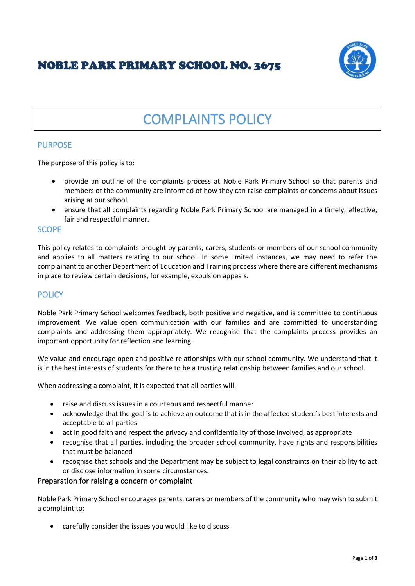# NOBLE PARK PRIMARY SCHOOL NO. 3675



# COMPLAINTS POLICY

# PURPOSE

The purpose of this policy is to:

- provide an outline of the complaints process at Noble Park Primary School so that parents and members of the community are informed of how they can raise complaints or concerns about issues arising at our school
- ensure that all complaints regarding Noble Park Primary School are managed in a timely, effective, fair and respectful manner.

# **SCOPE**

This policy relates to complaints brought by parents, carers, students or members of our school community and applies to all matters relating to our school. In some limited instances, we may need to refer the complainant to another Department of Education and Training process where there are different mechanisms in place to review certain decisions, for example, expulsion appeals.

# **POLICY**

Noble Park Primary School welcomes feedback, both positive and negative, and is committed to continuous improvement. We value open communication with our families and are committed to understanding complaints and addressing them appropriately. We recognise that the complaints process provides an important opportunity for reflection and learning.

We value and encourage open and positive relationships with our school community. We understand that it is in the best interests of students for there to be a trusting relationship between families and our school.

When addressing a complaint, it is expected that all parties will:

- raise and discuss issues in a courteous and respectful manner
- acknowledge that the goal is to achieve an outcome that is in the affected student's best interests and acceptable to all parties
- act in good faith and respect the privacy and confidentiality of those involved, as appropriate
- recognise that all parties, including the broader school community, have rights and responsibilities that must be balanced
- recognise that schools and the Department may be subject to legal constraints on their ability to act or disclose information in some circumstances.

# Preparation for raising a concern or complaint

Noble Park Primary School encourages parents, carers or members of the community who may wish to submit a complaint to:

• carefully consider the issues you would like to discuss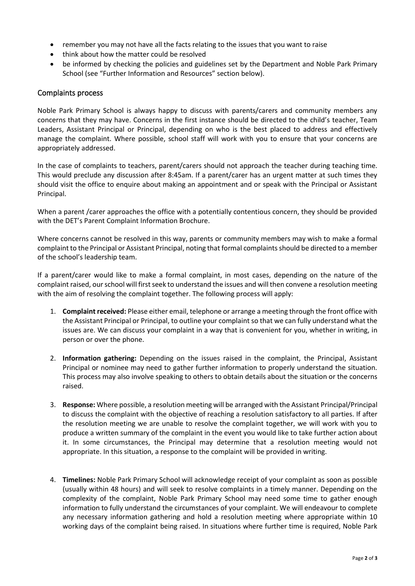- remember you may not have all the facts relating to the issues that you want to raise
- think about how the matter could be resolved
- be informed by checking the policies and guidelines set by the Department and Noble Park Primary School (see "Further Information and Resources" section below).

#### Complaints process

Noble Park Primary School is always happy to discuss with parents/carers and community members any concerns that they may have. Concerns in the first instance should be directed to the child's teacher, Team Leaders, Assistant Principal or Principal, depending on who is the best placed to address and effectively manage the complaint. Where possible, school staff will work with you to ensure that your concerns are appropriately addressed.

In the case of complaints to teachers, parent/carers should not approach the teacher during teaching time. This would preclude any discussion after 8:45am. If a parent/carer has an urgent matter at such times they should visit the office to enquire about making an appointment and or speak with the Principal or Assistant Principal.

When a parent /carer approaches the office with a potentially contentious concern, they should be provided with the DET's Parent Complaint Information Brochure.

Where concerns cannot be resolved in this way, parents or community members may wish to make a formal complaint to the Principal or Assistant Principal, noting that formal complaints should be directed to a member of the school's leadership team.

If a parent/carer would like to make a formal complaint, in most cases, depending on the nature of the complaint raised, our school will first seek to understand the issues and will then convene a resolution meeting with the aim of resolving the complaint together. The following process will apply:

- 1. **Complaint received:** Please either email, telephone or arrange a meeting through the front office with the Assistant Principal or Principal, to outline your complaint so that we can fully understand what the issues are. We can discuss your complaint in a way that is convenient for you, whether in writing, in person or over the phone.
- 2. **Information gathering:** Depending on the issues raised in the complaint, the Principal, Assistant Principal or nominee may need to gather further information to properly understand the situation. This process may also involve speaking to others to obtain details about the situation or the concerns raised.
- 3. **Response:** Where possible, a resolution meeting will be arranged with the Assistant Principal/Principal to discuss the complaint with the objective of reaching a resolution satisfactory to all parties. If after the resolution meeting we are unable to resolve the complaint together, we will work with you to produce a written summary of the complaint in the event you would like to take further action about it. In some circumstances, the Principal may determine that a resolution meeting would not appropriate. In this situation, a response to the complaint will be provided in writing.
- 4. **Timelines:** Noble Park Primary School will acknowledge receipt of your complaint as soon as possible (usually within 48 hours) and will seek to resolve complaints in a timely manner. Depending on the complexity of the complaint, Noble Park Primary School may need some time to gather enough information to fully understand the circumstances of your complaint. We will endeavour to complete any necessary information gathering and hold a resolution meeting where appropriate within 10 working days of the complaint being raised. In situations where further time is required, Noble Park